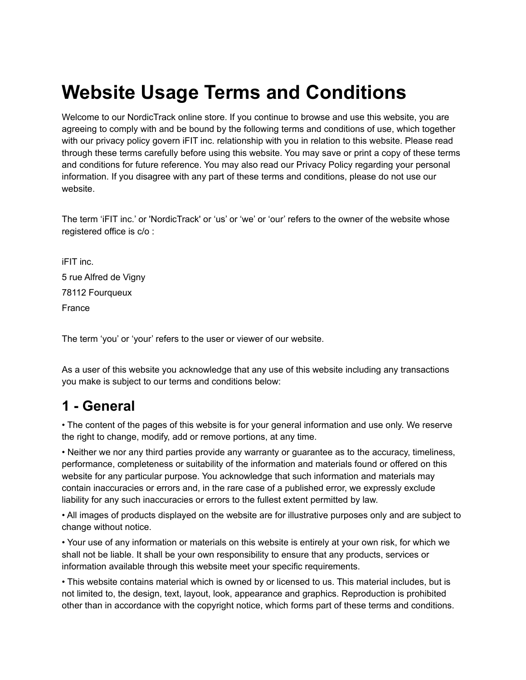# **Website Usage Terms and Conditions**

Welcome to our NordicTrack online store. If you continue to browse and use this website, you are agreeing to comply with and be bound by the following terms and conditions of use, which together with our privacy policy govern iFIT inc. relationship with you in relation to this website. Please read through these terms carefully before using this website. You may save or print a copy of these terms and conditions for future reference. You may also read our Privacy Policy regarding your personal information. If you disagree with any part of these terms and conditions, please do not use our website.

The term 'iFIT inc.' or 'NordicTrack' or 'us' or 'we' or 'our' refers to the owner of the website whose registered office is c/o :

iFIT inc. 5 rue Alfred de Vigny 78112 Fourqueux France

The term 'you' or 'your' refers to the user or viewer of our website.

As a user of this website you acknowledge that any use of this website including any transactions you make is subject to our terms and conditions below:

### **1 - General**

• The content of the pages of this website is for your general information and use only. We reserve the right to change, modify, add or remove portions, at any time.

• Neither we nor any third parties provide any warranty or guarantee as to the accuracy, timeliness, performance, completeness or suitability of the information and materials found or offered on this website for any particular purpose. You acknowledge that such information and materials may contain inaccuracies or errors and, in the rare case of a published error, we expressly exclude liability for any such inaccuracies or errors to the fullest extent permitted by law.

• All images of products displayed on the website are for illustrative purposes only and are subject to change without notice.

• Your use of any information or materials on this website is entirely at your own risk, for which we shall not be liable. It shall be your own responsibility to ensure that any products, services or information available through this website meet your specific requirements.

• This website contains material which is owned by or licensed to us. This material includes, but is not limited to, the design, text, layout, look, appearance and graphics. Reproduction is prohibited other than in accordance with the copyright notice, which forms part of these terms and conditions.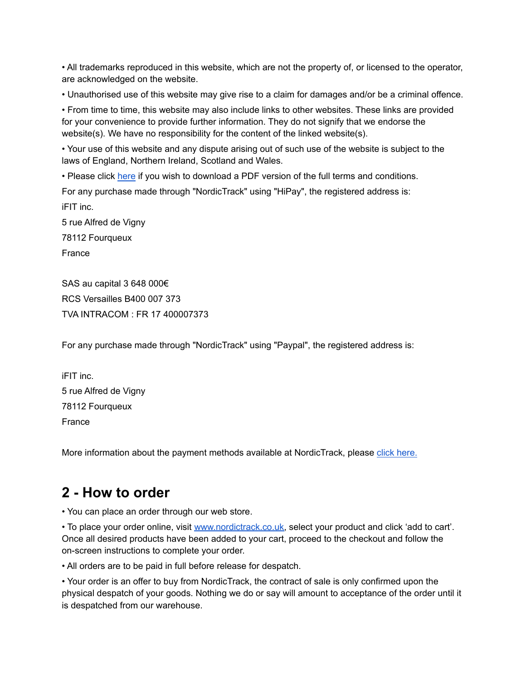• All trademarks reproduced in this website, which are not the property of, or licensed to the operator, are acknowledged on the website.

• Unauthorised use of this website may give rise to a claim for damages and/or be a criminal offence.

• From time to time, this website may also include links to other websites. These links are provided for your convenience to provide further information. They do not signify that we endorse the website(s). We have no responsibility for the content of the linked website(s).

• Your use of this website and any dispute arising out of such use of the website is subject to the laws of England, Northern Ireland, Scotland and Wales.

• Please click [here](https://www.nordictrack.co.uk/sites/default/files/pdf/cmsstatic/terms-and-conditions-ntuk-19112021.pdf) if you wish to download a PDF version of the full terms and conditions. For any purchase made through "NordicTrack" using "HiPay", the registered address is: iFIT inc. 5 rue Alfred de Vigny 78112 Fourqueux France

SAS au capital 3 648 000€ RCS Versailles B400 007 373 TVA INTRACOM : FR 17 400007373

For any purchase made through "NordicTrack" using "Paypal", the registered address is:

iFIT inc. 5 rue Alfred de Vigny 78112 Fourqueux France

More information about the payment methods available at NordicTrack, please [click here.](https://www.nordictrack.co.uk/secure-payments)

### **2 - How to order**

• You can place an order through our web store.

• To place your order online, visit [www.nordictrack.co.uk,](https://www.nordictrack.co.uk/) select your product and click 'add to cart'. Once all desired products have been added to your cart, proceed to the checkout and follow the on-screen instructions to complete your order.

• All orders are to be paid in full before release for despatch.

• Your order is an offer to buy from NordicTrack, the contract of sale is only confirmed upon the physical despatch of your goods. Nothing we do or say will amount to acceptance of the order until it is despatched from our warehouse.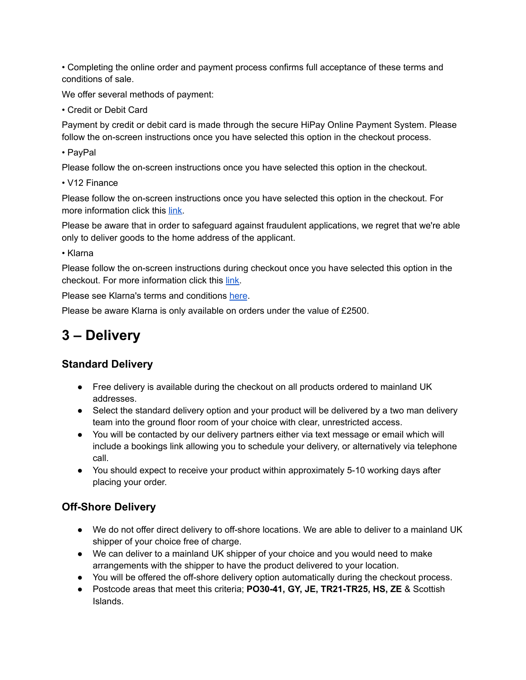• Completing the online order and payment process confirms full acceptance of these terms and conditions of sale.

We offer several methods of payment:

• Credit or Debit Card

Payment by credit or debit card is made through the secure HiPay Online Payment System. Please follow the on-screen instructions once you have selected this option in the checkout process.

• PayPal

Please follow the on-screen instructions once you have selected this option in the checkout.

• V12 Finance

Please follow the on-screen instructions once you have selected this option in the checkout. For more information click this [link](https://www.nordictrack.co.uk/finance-information).

Please be aware that in order to safeguard against fraudulent applications, we regret that we're able only to deliver goods to the home address of the applicant.

• Klarna

Please follow the on-screen instructions during checkout once you have selected this option in the checkout. For more information click this [link.](https://www.klarna.com/uk/customer-service/what-is-pay-in-3-instalments-and-how-does-it-work/)

Please see Klarna's terms and conditions [here](https://cdn.klarna.com/1.0/shared/content/legal/terms/0/en_gb/slice_it_card/).

Please be aware Klarna is only available on orders under the value of £2500.

# **3 – Delivery**

#### **Standard Delivery**

- Free delivery is available during the checkout on all products ordered to mainland UK addresses.
- Select the standard delivery option and your product will be delivered by a two man delivery team into the ground floor room of your choice with clear, unrestricted access.
- You will be contacted by our delivery partners either via text message or email which will include a bookings link allowing you to schedule your delivery, or alternatively via telephone call.
- You should expect to receive your product within approximately 5-10 working days after placing your order.

#### **Off-Shore Delivery**

- We do not offer direct delivery to off-shore locations. We are able to deliver to a mainland UK shipper of your choice free of charge.
- We can deliver to a mainland UK shipper of your choice and you would need to make arrangements with the shipper to have the product delivered to your location.
- You will be offered the off-shore delivery option automatically during the checkout process.
- Postcode areas that meet this criteria; **PO30-41, GY, JE, TR21-TR25, HS, ZE** & Scottish Islands.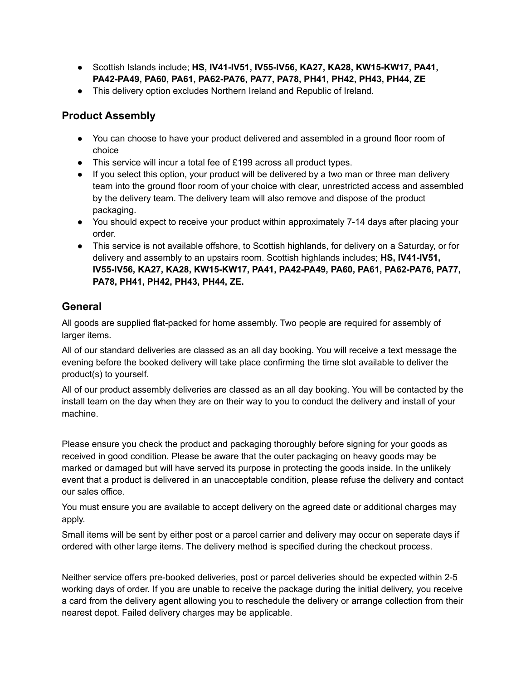- Scottish Islands include; **HS, IV41-IV51, IV55-IV56, KA27, KA28, KW15-KW17, PA41, PA42-PA49, PA60, PA61, PA62-PA76, PA77, PA78, PH41, PH42, PH43, PH44, ZE**
- This delivery option excludes Northern Ireland and Republic of Ireland.

#### **Product Assembly**

- You can choose to have your product delivered and assembled in a ground floor room of choice
- This service will incur a total fee of £199 across all product types.
- If you select this option, your product will be delivered by a two man or three man delivery team into the ground floor room of your choice with clear, unrestricted access and assembled by the delivery team. The delivery team will also remove and dispose of the product packaging.
- You should expect to receive your product within approximately 7-14 days after placing your order.
- This service is not available offshore, to Scottish highlands, for delivery on a Saturday, or for delivery and assembly to an upstairs room. Scottish highlands includes; **HS, IV41-IV51, IV55-IV56, KA27, KA28, KW15-KW17, PA41, PA42-PA49, PA60, PA61, PA62-PA76, PA77, PA78, PH41, PH42, PH43, PH44, ZE.**

#### **General**

All goods are supplied flat-packed for home assembly. Two people are required for assembly of larger items.

All of our standard deliveries are classed as an all day booking. You will receive a text message the evening before the booked delivery will take place confirming the time slot available to deliver the product(s) to yourself.

All of our product assembly deliveries are classed as an all day booking. You will be contacted by the install team on the day when they are on their way to you to conduct the delivery and install of your machine.

Please ensure you check the product and packaging thoroughly before signing for your goods as received in good condition. Please be aware that the outer packaging on heavy goods may be marked or damaged but will have served its purpose in protecting the goods inside. In the unlikely event that a product is delivered in an unacceptable condition, please refuse the delivery and contact our sales office.

You must ensure you are available to accept delivery on the agreed date or additional charges may apply.

Small items will be sent by either post or a parcel carrier and delivery may occur on seperate days if ordered with other large items. The delivery method is specified during the checkout process.

Neither service offers pre-booked deliveries, post or parcel deliveries should be expected within 2-5 working days of order. If you are unable to receive the package during the initial delivery, you receive a card from the delivery agent allowing you to reschedule the delivery or arrange collection from their nearest depot. Failed delivery charges may be applicable.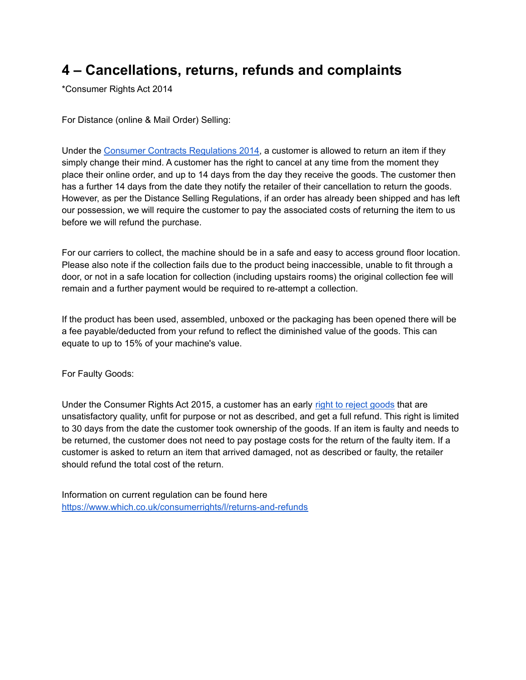# **4 – Cancellations, returns, refunds and complaints**

\*Consumer Rights Act 2014

For Distance (online & Mail Order) Selling:

Under the [Consumer Contracts Regulations 2014,](https://www.which.co.uk/consumer-rights/regulation/consumer-contracts-regulations) a customer is allowed to return an item if they simply change their mind. A customer has the right to cancel at any time from the moment they place their online order, and up to 14 days from the day they receive the goods. The customer then has a further 14 days from the date they notify the retailer of their cancellation to return the goods. However, as per the Distance Selling Regulations, if an order has already been shipped and has left our possession, we will require the customer to pay the associated costs of returning the item to us before we will refund the purchase.

For our carriers to collect, the machine should be in a safe and easy to access ground floor location. Please also note if the collection fails due to the product being inaccessible, unable to fit through a door, or not in a safe location for collection (including upstairs rooms) the original collection fee will remain and a further payment would be required to re-attempt a collection.

If the product has been used, assembled, unboxed or the packaging has been opened there will be a fee payable/deducted from your refund to reflect the diminished value of the goods. This can equate to up to 15% of your machine's value.

For Faulty Goods:

Under the Consumer Rights Act 2015, a customer has an early [right to reject goods](https://www.which.co.uk/consumer-rights/letter/letter-to-get-a-refund-if-your-item-is-faulty) that are unsatisfactory quality, unfit for purpose or not as described, and get a full refund. This right is limited to 30 days from the date the customer took ownership of the goods. If an item is faulty and needs to be returned, the customer does not need to pay postage costs for the return of the faulty item. If a customer is asked to return an item that arrived damaged, not as described or faulty, the retailer should refund the total cost of the return.

Information on current regulation can be found here [https://www.which.co.uk/consumerrights/l/returns-and-refunds](https://www.which.co.uk/consumer-rights/l/returns-and-refunds)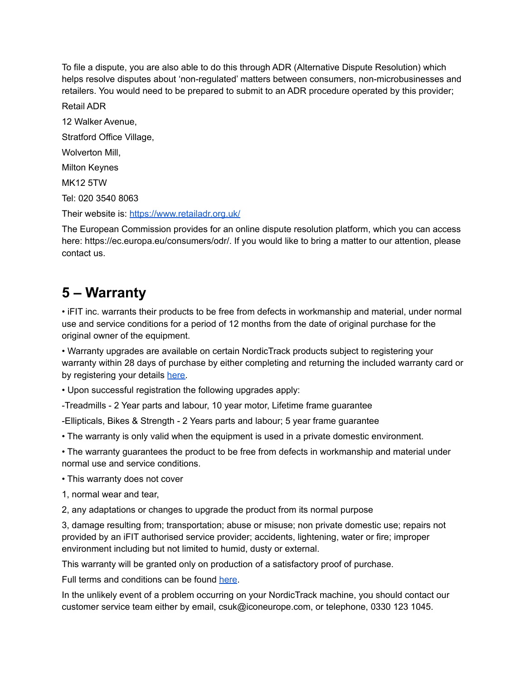To file a dispute, you are also able to do this through ADR (Alternative Dispute Resolution) which helps resolve disputes about 'non-regulated' matters between consumers, non-microbusinesses and retailers. You would need to be prepared to submit to an ADR procedure operated by this provider;

Retail ADR 12 Walker Avenue, Stratford Office Village, Wolverton Mill, Milton Keynes MK12 5TW Tel: 020 3540 8063 Their website is: <https://www.retailadr.org.uk/>

The European Commission provides for an online dispute resolution platform, which you can access here: https://ec.europa.eu/consumers/odr/. If you would like to bring a matter to our attention, please contact us.

# **5 – Warranty**

• iFIT inc. warrants their products to be free from defects in workmanship and material, under normal use and service conditions for a period of 12 months from the date of original purchase for the original owner of the equipment.

• Warranty upgrades are available on certain NordicTrack products subject to registering your warranty within 28 days of purchase by either completing and returning the included warranty card or by registering your details [here.](https://www.iconsupport.eu/)

• Upon successful registration the following upgrades apply:

-Treadmills - 2 Year parts and labour, 10 year motor, Lifetime frame guarantee

-Ellipticals, Bikes & Strength - 2 Years parts and labour; 5 year frame guarantee

• The warranty is only valid when the equipment is used in a private domestic environment.

• The warranty guarantees the product to be free from defects in workmanship and material under normal use and service conditions.

• This warranty does not cover

1, normal wear and tear,

2, any adaptations or changes to upgrade the product from its normal purpose

3, damage resulting from; transportation; abuse or misuse; non private domestic use; repairs not provided by an iFIT authorised service provider; accidents, lightening, water or fire; improper environment including but not limited to humid, dusty or external.

This warranty will be granted only on production of a satisfactory proof of purchase.

Full terms and conditions can be found [here](https://www.nordictrack.co.uk/warranty-terms-and-conditions).

In the unlikely event of a problem occurring on your NordicTrack machine, you should contact our customer service team either by email, csuk@iconeurope.com, or telephone, 0330 123 1045.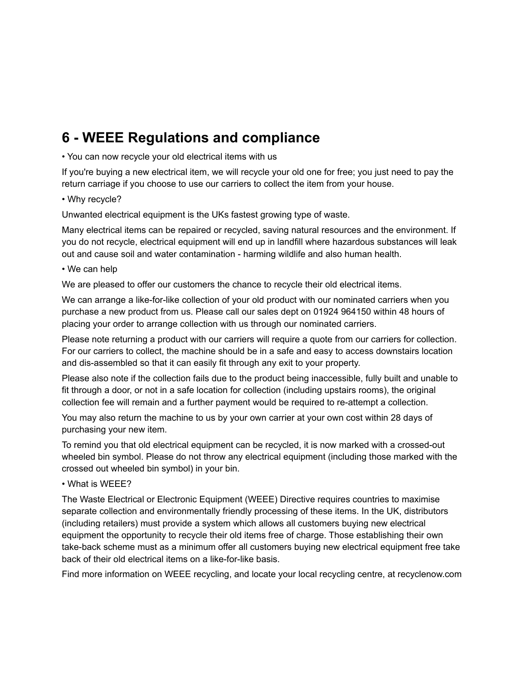# **6 - WEEE Regulations and compliance**

• You can now recycle your old electrical items with us

If you're buying a new electrical item, we will recycle your old one for free; you just need to pay the return carriage if you choose to use our carriers to collect the item from your house.

#### • Why recycle?

Unwanted electrical equipment is the UKs fastest growing type of waste.

Many electrical items can be repaired or recycled, saving natural resources and the environment. If you do not recycle, electrical equipment will end up in landfill where hazardous substances will leak out and cause soil and water contamination - harming wildlife and also human health.

#### • We can help

We are pleased to offer our customers the chance to recycle their old electrical items.

We can arrange a like-for-like collection of your old product with our nominated carriers when you purchase a new product from us. Please call our sales dept on 01924 964150 within 48 hours of placing your order to arrange collection with us through our nominated carriers.

Please note returning a product with our carriers will require a quote from our carriers for collection. For our carriers to collect, the machine should be in a safe and easy to access downstairs location and dis-assembled so that it can easily fit through any exit to your property.

Please also note if the collection fails due to the product being inaccessible, fully built and unable to fit through a door, or not in a safe location for collection (including upstairs rooms), the original collection fee will remain and a further payment would be required to re-attempt a collection.

You may also return the machine to us by your own carrier at your own cost within 28 days of purchasing your new item.

To remind you that old electrical equipment can be recycled, it is now marked with a crossed-out wheeled bin symbol. Please do not throw any electrical equipment (including those marked with the crossed out wheeled bin symbol) in your bin.

• What is WEEE?

The Waste Electrical or Electronic Equipment (WEEE) Directive requires countries to maximise separate collection and environmentally friendly processing of these items. In the UK, distributors (including retailers) must provide a system which allows all customers buying new electrical equipment the opportunity to recycle their old items free of charge. Those establishing their own take-back scheme must as a minimum offer all customers buying new electrical equipment free take back of their old electrical items on a like-for-like basis.

Find more information on WEEE recycling, and locate your local recycling centre, at recyclenow.com